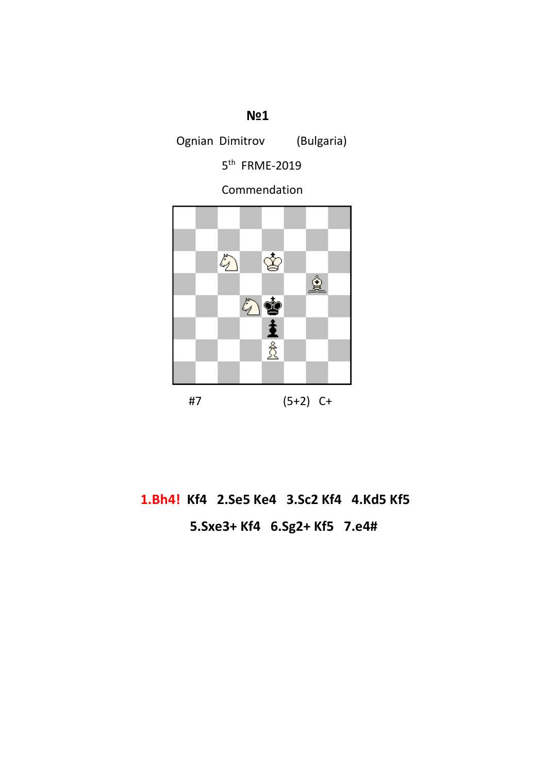## **№1**

Ognian Dimitrov (Bulgaria)

5<sup>th</sup> FRME-2019

Commendation



# **1.Bh4! Kf4 2.Se5 Ke4 3.Sc2 Kf4 4.Kd5 Kf5 5.Sxe3+ Kf4 6.Sg2+ Kf5 7.e4#**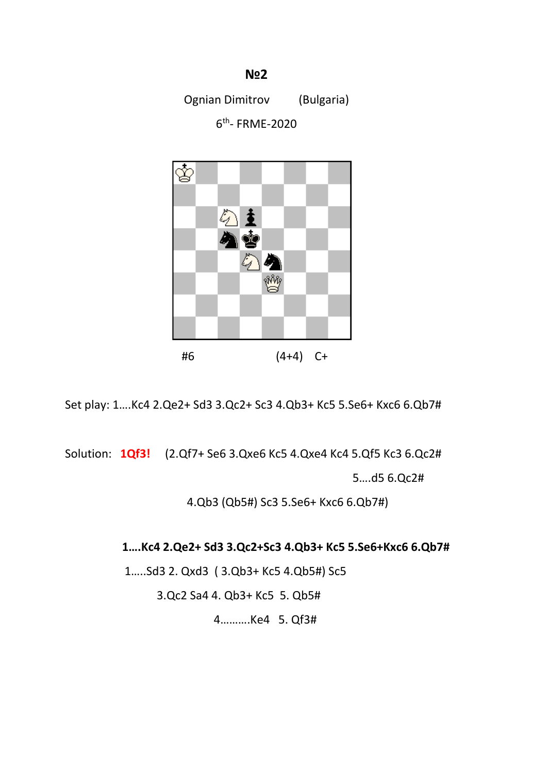### **N2 N2**

Ognian Dimitrov (Bulgaria)

6th- FRME-2020



Set play: 1….Kc4 2.Qe2+ Sd3 3.Qc2+ Sc3 4.Qb3+ Kc5 5.Se6+ Kxc6 6.Qb7#

Solution: **1Qf3!** (2.Qf7+ Se6 3.Qxe6 Kc5 4.Qxe4 Kc4 5.Qf5 Kc3 6.Qc2#

5….d5 6.Qc2#

4.Qb3 (Qb5#) Sc3 5.Se6+ Kxc6 6.Qb7#)

#### **1….Kc4 2.Qe2+ Sd3 3.Qc2+Sc3 4.Qb3+ Kc5 5.Se6+Kxc6 6.Qb7#**

1…..Sd3 2. Qxd3 ( 3.Qb3+ Kc5 4.Qb5#) Sc5

3.Qc2 Sa4 4. Qb3+ Kc5 5. Qb5#

4……….Ke4 5. Qf3#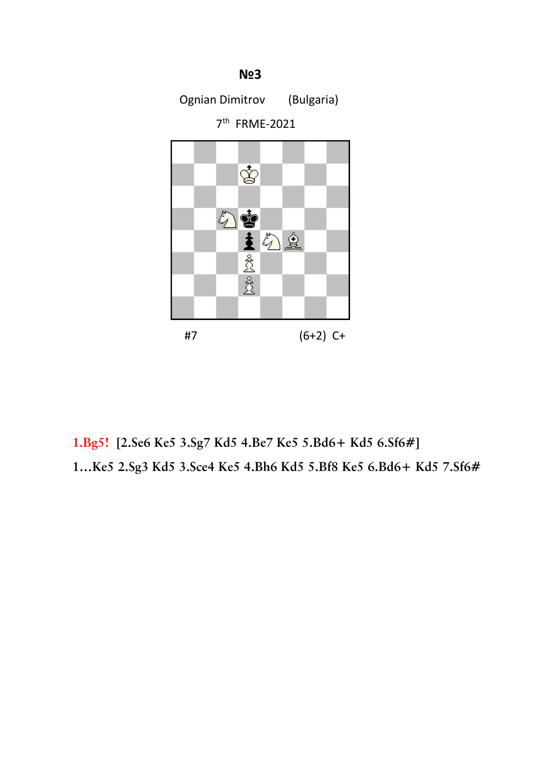

 **1.Bg5! [2.Se6 Ke5 3.Sg7 Kd5 4.Be7 Ke5 5.Bd6+ Kd5 6.Sf6#] 1…Ke5 2.Sg3 Kd5 3.Sce4 Ke5 4.Bh6 Kd5 5.Bf8 Ke5 6.Bd6+ Kd5 7.Sf6#**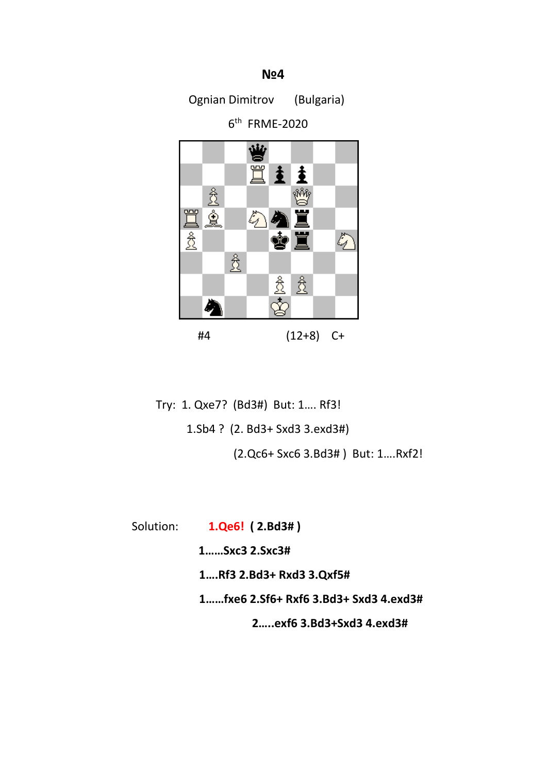### **N**≌4

Ognian Dimitrov (Bulgaria)

 $6<sup>th</sup>$  FRME-2020



 Try: 1. Qxe7? (Bd3#) But: 1…. Rf3! 1.Sb4 ? (2. Bd3+ Sxd3 3.exd3#) (2.Qc6+ Sxc6 3.Bd3# ) But: 1….Rxf2!

Solution: **1.Qe6! ( 2.Bd3# )**

 **1……Sxc3 2.Sxc3#**

 **1….Rf3 2.Bd3+ Rxd3 3.Qxf5#**

 **1……fxe6 2.Sf6+ Rxf6 3.Bd3+ Sxd3 4.exd3#**

 **2…..exf6 3.Bd3+Sxd3 4.exd3#**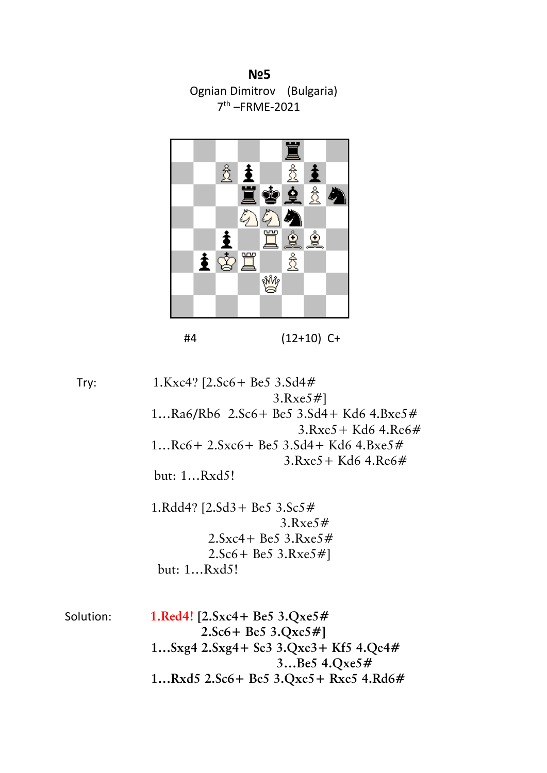**№5** Ognian Dimitrov (Bulgaria) 7th –FRME-2021



#4 (12+10) C+

 Try: 1.Kxc4? [2.Sc6+ Be5 3.Sd4# 3.Rxe5#] 1…Ra6/Rb6 2.Sc6+ Be5 3.Sd4+ Kd6 4.Bxe5# 3.Rxe5+ Kd6 4.Re6# 1…Rc6+ 2.Sxc6+ Be5 3.Sd4+ Kd6 4.Bxe5# 3.Rxe5+ Kd6 4.Re6# but: 1…Rxd5! 1.Rdd4? [2.Sd3+ Be5 3.Sc5# 3.Rxe5#  $2.$ Sxc4 + Be5 3.Rxe5  $#$  2.Sc6+ Be5 3.Rxe5#] but: 1…Rxd5! Solution: **1.Red4! [2.Sxc4+ Be5 3.Qxe5# 2.Sc6+ Be5 3.Qxe5#] 1…Sxg4 2.Sxg4+ Se3 3.Qxe3+ Kf5 4.Qe4# 3…Be5 4.Qxe5#**

 **1…Rxd5 2.Sc6+ Be5 3.Qxe5+ Rxe5 4.Rd6#**